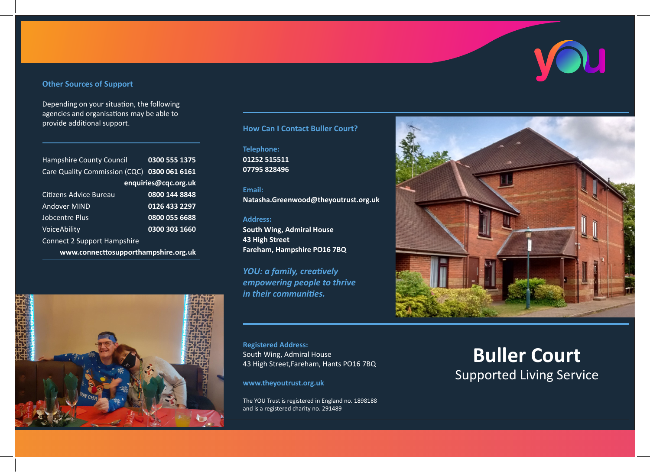# **Other Sources of Support**

Depending on your situation, the following agencies and organisations may be able to provide additional support. **How Can I Contact Buller Court?**

| <b>Hampshire County Council</b>             | 0300 555 1375 |
|---------------------------------------------|---------------|
| Care Quality Commission (CQC) 0300 061 6161 |               |
| enquiries@cqc.org.uk                        |               |
| Citizens Advice Bureau                      | 0800 144 8848 |
| Andover MIND                                | 0126 433 2297 |
| Jobcentre Plus                              | 0800 055 6688 |
| VoiceAbility                                | 0300 303 1660 |
| <b>Connect 2 Support Hampshire</b>          |               |
| www.connecttosupporthampshire.org.uk        |               |



**Telephone: 01252 515511 07795 828496**

#### **Email:**

**Natasha.Greenwood@theyoutrust.org.uk**

#### **Address:**

**South Wing, Admiral House 43 High Street Fareham, Hampshire PO16 7BQ**

*YOU: a family, creatively empowering people to thrive in their communities.*

**Registered Address:** South Wing, Admiral House 43 High Street,Fareham, Hants PO16 7BQ

**www.theyoutrust.org.uk**

The YOU Trust is registered in England no. 1898188 and is a registered charity no. 291489



# **Buller Court** Supported Living Service